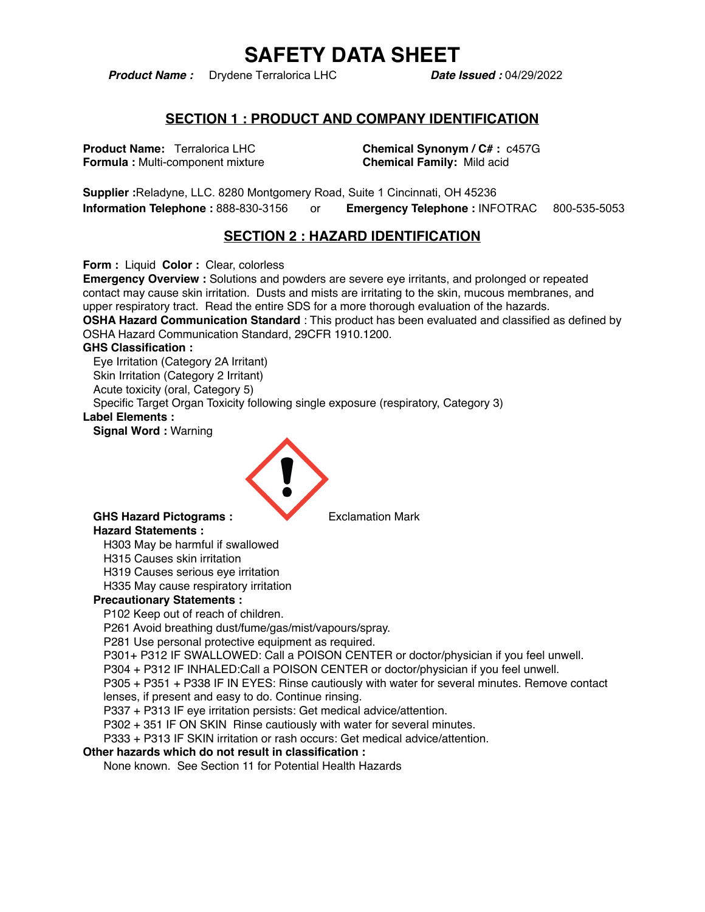*Product Name :* Drydene Terralorica LHC *Date Issued :* 04/29/2022

#### **SECTION 1 : PRODUCT AND COMPANY IDENTIFICATION**

**Product Name:** Terralorica LHC **Chemical Synonym / C# :** c457G **Formula : Multi-component mixture <b>Chemical Family:** Mild acid

**Supplier :**Reladyne, LLC. 8280 Montgomery Road, Suite 1 Cincinnati, OH 45236 **Information Telephone :** 888-830-3156 or **Emergency Telephone :** INFOTRAC 800-535-5053

### **SECTION 2 : HAZARD IDENTIFICATION**

**Form :** Liquid **Color :** Clear, colorless

**Emergency Overview :** Solutions and powders are severe eye irritants, and prolonged or repeated contact may cause skin irritation. Dusts and mists are irritating to the skin, mucous membranes, and upper respiratory tract. Read the entire SDS for a more thorough evaluation of the hazards. **OSHA Hazard Communication Standard** : This product has been evaluated and classified as defined by OSHA Hazard Communication Standard, 29CFR 1910.1200.

#### **GHS Classification :**

Eye Irritation (Category 2A Irritant) Skin Irritation (Category 2 Irritant) Acute toxicity (oral, Category 5) Specific Target Organ Toxicity following single exposure (respiratory, Category 3)

#### **Label Elements :**

**Signal Word :** Warning



#### GHS Hazard Pictograms : **Exclamation Mark Hazard Statements :**

H303 May be harmful if swallowed

H315 Causes skin irritation

H319 Causes serious eye irritation

H335 May cause respiratory irritation

#### **Precautionary Statements :**

P102 Keep out of reach of children.

P261 Avoid breathing dust/fume/gas/mist/vapours/spray.

P281 Use personal protective equipment as required.

P301+ P312 IF SWALLOWED: Call a POISON CENTER or doctor/physician if you feel unwell.

P304 + P312 IF INHALED:Call a POISON CENTER or doctor/physician if you feel unwell.

P305 + P351 + P338 IF IN EYES: Rinse cautiously with water for several minutes. Remove contact lenses, if present and easy to do. Continue rinsing.

P337 + P313 IF eye irritation persists: Get medical advice/attention.

P302 + 351 IF ON SKIN Rinse cautiously with water for several minutes.

P333 + P313 IF SKIN irritation or rash occurs: Get medical advice/attention.

#### **Other hazards which do not result in classification :**

None known. See Section 11 for Potential Health Hazards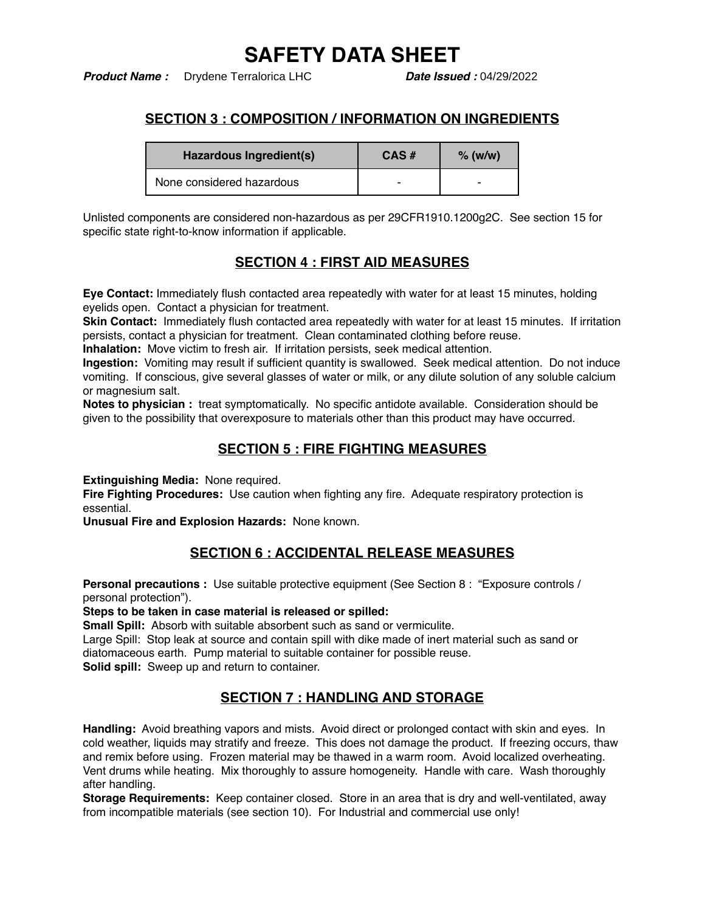*Product Name :* Drydene Terralorica LHC *Date Issued :* 04/29/2022

# **SECTION 3 : COMPOSITION / INFORMATION ON INGREDIENTS**

| Hazardous Ingredient(s)   | CAS# | $%$ (w/w) |
|---------------------------|------|-----------|
| None considered hazardous | -    | -         |

Unlisted components are considered non-hazardous as per 29CFR1910.1200g2C. See section 15 for specific state right-to-know information if applicable.

# **SECTION 4 : FIRST AID MEASURES**

**Eye Contact:** Immediately flush contacted area repeatedly with water for at least 15 minutes, holding eyelids open. Contact a physician for treatment.

**Skin Contact:** Immediately flush contacted area repeatedly with water for at least 15 minutes. If irritation persists, contact a physician for treatment. Clean contaminated clothing before reuse.

**Inhalation:** Move victim to fresh air. If irritation persists, seek medical attention.

**Ingestion:** Vomiting may result if sufficient quantity is swallowed. Seek medical attention. Do not induce vomiting. If conscious, give several glasses of water or milk, or any dilute solution of any soluble calcium or magnesium salt.

**Notes to physician :** treat symptomatically. No specific antidote available. Consideration should be given to the possibility that overexposure to materials other than this product may have occurred.

## **SECTION 5 : FIRE FIGHTING MEASURES**

**Extinguishing Media:** None required.

**Fire Fighting Procedures:** Use caution when fighting any fire. Adequate respiratory protection is essential.

**Unusual Fire and Explosion Hazards:** None known.

## **SECTION 6 : ACCIDENTAL RELEASE MEASURES**

**Personal precautions :** Use suitable protective equipment (See Section 8 : "Exposure controls / personal protection").

**Steps to be taken in case material is released or spilled:**

**Small Spill:** Absorb with suitable absorbent such as sand or vermiculite.

Large Spill: Stop leak at source and contain spill with dike made of inert material such as sand or diatomaceous earth. Pump material to suitable container for possible reuse. **Solid spill:** Sweep up and return to container.

## **SECTION 7 : HANDLING AND STORAGE**

**Handling:** Avoid breathing vapors and mists. Avoid direct or prolonged contact with skin and eyes. In cold weather, liquids may stratify and freeze. This does not damage the product. If freezing occurs, thaw and remix before using. Frozen material may be thawed in a warm room. Avoid localized overheating. Vent drums while heating. Mix thoroughly to assure homogeneity. Handle with care. Wash thoroughly after handling.

**Storage Requirements:** Keep container closed. Store in an area that is dry and well-ventilated, away from incompatible materials (see section 10). For Industrial and commercial use only!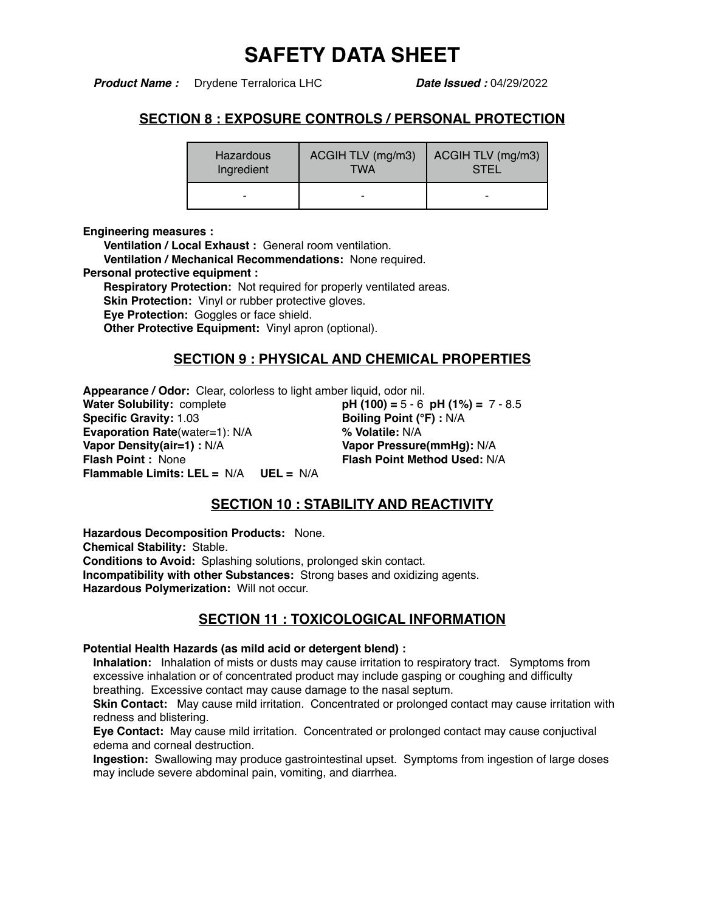*Product Name :* Drydene Terralorica LHC *Date Issued :* 04/29/2022

### **SECTION 8 : EXPOSURE CONTROLS / PERSONAL PROTECTION**

| <b>Hazardous</b> | ACGIH TLV (mg/m3) | ACGIH TLV (mg/m3) |
|------------------|-------------------|-------------------|
| Ingredient       | TWA               | <b>STEL</b>       |
| -                | -                 |                   |

**Engineering measures :**

**Ventilation / Local Exhaust :** General room ventilation.

**Ventilation / Mechanical Recommendations:** None required.

**Personal protective equipment :**

**Respiratory Protection:** Not required for properly ventilated areas.

**Skin Protection:** Vinyl or rubber protective gloves.

**Eye Protection:** Goggles or face shield.

**Other Protective Equipment:** Vinyl apron (optional).

### **SECTION 9 : PHYSICAL AND CHEMICAL PROPERTIES**

**Appearance / Odor:** Clear, colorless to light amber liquid, odor nil. **Water Solubility:** complete **pH (100) =** 5 - 6 **pH (1%) =** 7 - 8.5<br> **Specific Gravity:** 1.03 **Boiling Point (°F)**: N/A **Evaporation Rate**(water=1): N/A **% Volatile:** N/A **Vapor Density(air=1) :** N/A **Vapor Pressure(mmHg):** N/A **Flash Point :** None **Flash Point Method Used:** N/A **Flammable Limits: LEL =** N/A **UEL =** N/A

**Boiling Point (°F) : N/A** 

## **SECTION 10 : STABILITY AND REACTIVITY**

**Hazardous Decomposition Products:** None. **Chemical Stability:** Stable. **Conditions to Avoid:** Splashing solutions, prolonged skin contact. **Incompatibility with other Substances:** Strong bases and oxidizing agents. **Hazardous Polymerization:** Will not occur.

# **SECTION 11 : TOXICOLOGICAL INFORMATION**

#### **Potential Health Hazards (as mild acid or detergent blend) :**

**Inhalation:** Inhalation of mists or dusts may cause irritation to respiratory tract. Symptoms from excessive inhalation or of concentrated product may include gasping or coughing and difficulty breathing. Excessive contact may cause damage to the nasal septum.

**Skin Contact:** May cause mild irritation. Concentrated or prolonged contact may cause irritation with redness and blistering.

**Eye Contact:** May cause mild irritation. Concentrated or prolonged contact may cause conjuctival edema and corneal destruction.

**Ingestion:** Swallowing may produce gastrointestinal upset. Symptoms from ingestion of large doses may include severe abdominal pain, vomiting, and diarrhea.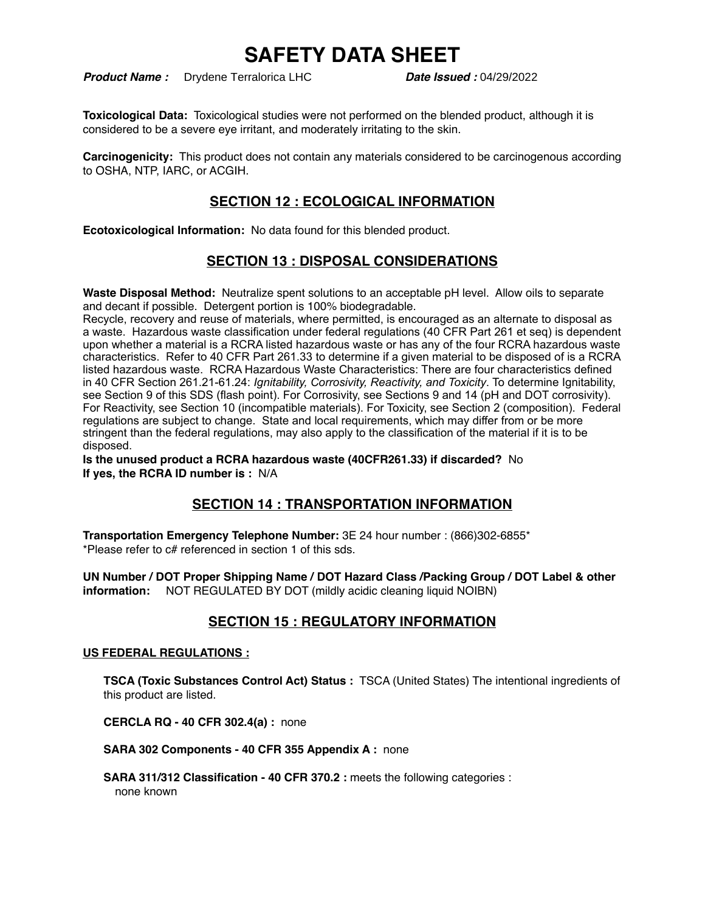*Product Name :* Drydene Terralorica LHC *Date Issued :* 04/29/2022

**Toxicological Data:** Toxicological studies were not performed on the blended product, although it is considered to be a severe eye irritant, and moderately irritating to the skin.

**Carcinogenicity:** This product does not contain any materials considered to be carcinogenous according to OSHA, NTP, IARC, or ACGIH.

## **SECTION 12 : ECOLOGICAL INFORMATION**

**Ecotoxicological Information:** No data found for this blended product.

## **SECTION 13 : DISPOSAL CONSIDERATIONS**

**Waste Disposal Method:** Neutralize spent solutions to an acceptable pH level. Allow oils to separate and decant if possible. Detergent portion is 100% biodegradable.

Recycle, recovery and reuse of materials, where permitted, is encouraged as an alternate to disposal as a waste. Hazardous waste classification under federal regulations (40 CFR Part 261 et seq) is dependent upon whether a material is a RCRA listed hazardous waste or has any of the four RCRA hazardous waste characteristics. Refer to 40 CFR Part 261.33 to determine if a given material to be disposed of is a RCRA listed hazardous waste. RCRA Hazardous Waste Characteristics: There are four characteristics defined in 40 CFR Section 261.21-61.24: *Ignitability, Corrosivity, Reactivity, and Toxicity*. To determine Ignitability, see Section 9 of this SDS (flash point). For Corrosivity, see Sections 9 and 14 (pH and DOT corrosivity). For Reactivity, see Section 10 (incompatible materials). For Toxicity, see Section 2 (composition). Federal regulations are subject to change. State and local requirements, which may differ from or be more stringent than the federal regulations, may also apply to the classification of the material if it is to be disposed.

**Is the unused product a RCRA hazardous waste (40CFR261.33) if discarded?** No **If yes, the RCRA ID number is :** N/A

## **SECTION 14 : TRANSPORTATION INFORMATION**

**Transportation Emergency Telephone Number:** 3E 24 hour number : (866)302-6855\* \*Please refer to c# referenced in section 1 of this sds.

**UN Number / DOT Proper Shipping Name / DOT Hazard Class /Packing Group / DOT Label & other information:** NOT REGULATED BY DOT (mildly acidic cleaning liquid NOIBN)

## **SECTION 15 : REGULATORY INFORMATION**

#### **US FEDERAL REGULATIONS :**

**TSCA (Toxic Substances Control Act) Status :** TSCA (United States) The intentional ingredients of this product are listed.

**CERCLA RQ - 40 CFR 302.4(a) :** none

**SARA 302 Components - 40 CFR 355 Appendix A :** none

**SARA 311/312 Classification - 40 CFR 370.2 :** meets the following categories : none known